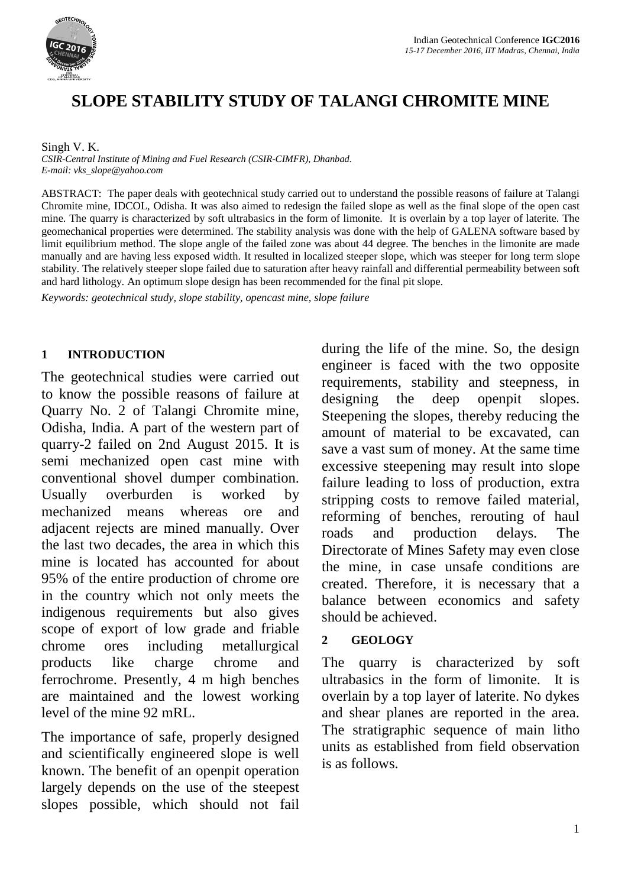

# **SLOPE STABILITY STUDY OF TALANGI CHROMITE MINE**

Singh V. K.

*CSIR-Central Institute of Mining and Fuel Research (CSIR-CIMFR), Dhanbad. E-mail: vks\_slope@yahoo.com*

ABSTRACT: The paper deals with geotechnical study carried out to understand the possible reasons of failure at Talangi Chromite mine, IDCOL, Odisha. It was also aimed to redesign the failed slope as well as the final slope of the open cast mine. The quarry is characterized by soft ultrabasics in the form of limonite. It is overlain by a top layer of laterite. The geomechanical properties were determined. The stability analysis was done with the help of GALENA software based by limit equilibrium method. The slope angle of the failed zone was about 44 degree. The benches in the limonite are made manually and are having less exposed width. It resulted in localized steeper slope, which was steeper for long term slope stability. The relatively steeper slope failed due to saturation after heavy rainfall and differential permeability between soft and hard lithology. An optimum slope design has been recommended for the final pit slope.

*Keywords: geotechnical study, slope stability, opencast mine, slope failure* 

### **1 INTRODUCTION**

The geotechnical studies were carried out to know the possible reasons of failure at Quarry No. 2 of Talangi Chromite mine, Odisha, India. A part of the western part of quarry-2 failed on 2nd August 2015. It is semi mechanized open cast mine with conventional shovel dumper combination. Usually overburden is worked by mechanized means whereas ore and adjacent rejects are mined manually. Over the last two decades, the area in which this mine is located has accounted for about 95% of the entire production of chrome ore in the country which not only meets the indigenous requirements but also gives scope of export of low grade and friable chrome ores including metallurgical products like charge chrome and ferrochrome. Presently, 4 m high benches are maintained and the lowest working level of the mine 92 mRL.

The importance of safe, properly designed and scientifically engineered slope is well known. The benefit of an openpit operation largely depends on the use of the steepest slopes possible, which should not fail during the life of the mine. So, the design engineer is faced with the two opposite requirements, stability and steepness, in designing the deep openpit slopes. Steepening the slopes, thereby reducing the amount of material to be excavated, can save a vast sum of money. At the same time excessive steepening may result into slope failure leading to loss of production, extra stripping costs to remove failed material, reforming of benches, rerouting of haul roads and production delays. The Directorate of Mines Safety may even close the mine, in case unsafe conditions are created. Therefore, it is necessary that a balance between economics and safety should be achieved.

### **2 GEOLOGY**

The quarry is characterized by soft ultrabasics in the form of limonite. It is overlain by a top layer of laterite. No dykes and shear planes are reported in the area. The stratigraphic sequence of main litho units as established from field observation is as follows.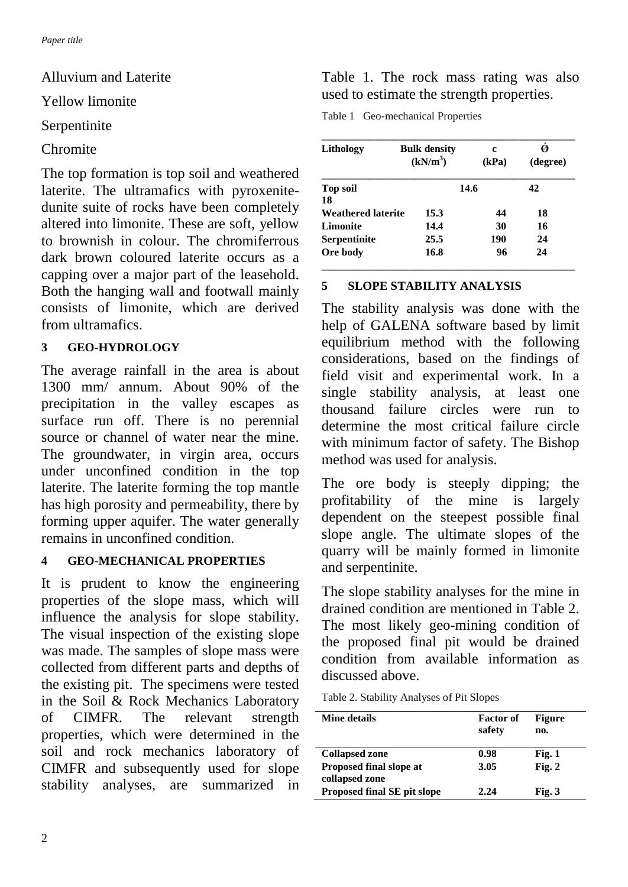Alluvium and Laterite

Yellow limonite

### Serpentinite

Chromite

The top formation is top soil and weathered laterite. The ultramafics with pyroxenitedunite suite of rocks have been completely altered into limonite. These are soft, yellow to brownish in colour. The chromiferrous dark brown coloured laterite occurs as a capping over a major part of the leasehold. Both the hanging wall and footwall mainly consists of limonite, which are derived from ultramafics.

### **3 GEO-HYDROLOGY**

The average rainfall in the area is about 1300 mm/ annum. About 90% of the precipitation in the valley escapes as surface run off. There is no perennial source or channel of water near the mine. The groundwater, in virgin area, occurs under unconfined condition in the top laterite. The laterite forming the top mantle has high porosity and permeability, there by forming upper aquifer. The water generally remains in unconfined condition.

### **4 GEO-MECHANICAL PROPERTIES**

It is prudent to know the engineering properties of the slope mass, which will influence the analysis for slope stability. The visual inspection of the existing slope was made. The samples of slope mass were collected from different parts and depths of the existing pit. The specimens were tested in the Soil & Rock Mechanics Laboratory of CIMFR. The relevant strength properties, which were determined in the soil and rock mechanics laboratory of CIMFR and subsequently used for slope stability analyses, are summarized in

Table 1. The rock mass rating was also used to estimate the strength properties.

Table 1 Geo-mechanical Properties

| Lithology                 | <b>Bulk density</b><br>(kN/m <sup>3</sup> ) | c<br>(kPa) | (degree) |
|---------------------------|---------------------------------------------|------------|----------|
| <b>Top soil</b>           |                                             | 14.6       |          |
| 18                        |                                             |            |          |
| <b>Weathered laterite</b> | 15.3                                        | 44         | 18       |
| <b>Limonite</b>           | 14.4                                        | 30         | 16       |
| <b>Serpentinite</b>       | 25.5                                        | 190        | 24       |
| Ore body                  | 16.8                                        | 96         | 24       |

## **5 SLOPE STABILITY ANALYSIS**

The stability analysis was done with the help of GALENA software based by limit equilibrium method with the following considerations, based on the findings of field visit and experimental work. In a single stability analysis, at least one thousand failure circles were run to determine the most critical failure circle with minimum factor of safety. The Bishop method was used for analysis.

The ore body is steeply dipping; the profitability of the mine is largely dependent on the steepest possible final slope angle. The ultimate slopes of the quarry will be mainly formed in limonite and serpentinite.

The slope stability analyses for the mine in drained condition are mentioned in Table 2. The most likely geo-mining condition of the proposed final pit would be drained condition from available information as discussed above.

Table 2. Stability Analyses of Pit Slopes

| Mine details                   | <b>Factor</b> of<br>safety | <b>Figure</b><br>no. |
|--------------------------------|----------------------------|----------------------|
| <b>Collapsed zone</b>          | 0.98                       | Fig. 1               |
| <b>Proposed final slope at</b> | 3.05                       | Fig. 2               |
| collapsed zone                 |                            |                      |
| Proposed final SE pit slope    | 2.24                       | Fig. 3               |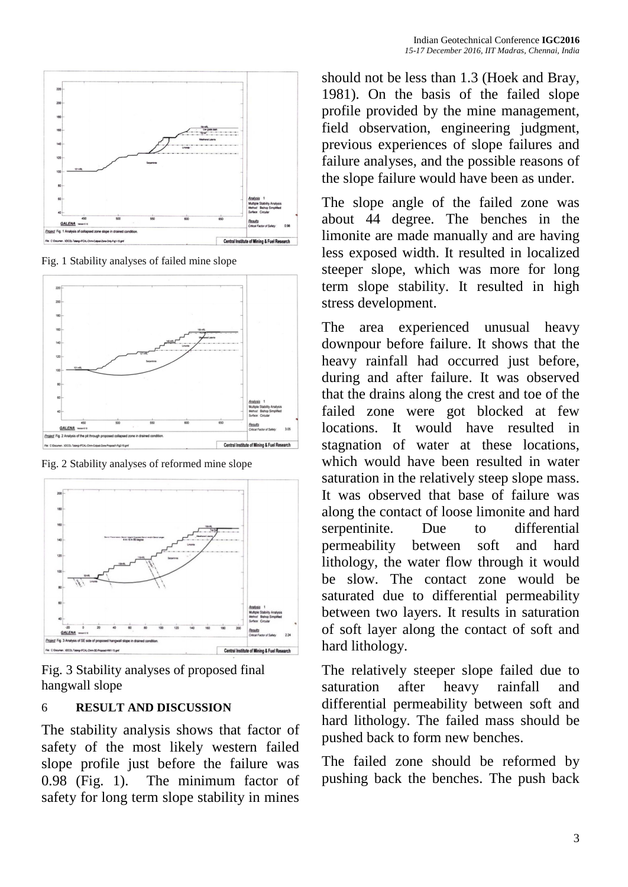

Fig. 1 Stability analyses of failed mine slope



Fig. 2 Stability analyses of reformed mine slope



Fig. 3 Stability analyses of proposed final hangwall slope

### 6 **RESULT AND DISCUSSION**

The stability analysis shows that factor of safety of the most likely western failed slope profile just before the failure was 0.98 (Fig. 1). The minimum factor of safety for long term slope stability in mines

should not be less than 1.3 (Hoek and Bray, 1981). On the basis of the failed slope profile provided by the mine management, field observation, engineering judgment, previous experiences of slope failures and failure analyses, and the possible reasons of the slope failure would have been as under.

The slope angle of the failed zone was about 44 degree. The benches in the limonite are made manually and are having less exposed width. It resulted in localized steeper slope, which was more for long term slope stability. It resulted in high stress development.

The area experienced unusual heavy downpour before failure. It shows that the heavy rainfall had occurred just before, during and after failure. It was observed that the drains along the crest and toe of the failed zone were got blocked at few locations. It would have resulted in stagnation of water at these locations, which would have been resulted in water saturation in the relatively steep slope mass. It was observed that base of failure was along the contact of loose limonite and hard serpentinite. Due to differential permeability between soft and hard lithology, the water flow through it would be slow. The contact zone would be saturated due to differential permeability between two layers. It results in saturation of soft layer along the contact of soft and hard lithology.

The relatively steeper slope failed due to saturation after heavy rainfall and differential permeability between soft and hard lithology. The failed mass should be pushed back to form new benches.

The failed zone should be reformed by pushing back the benches. The push back